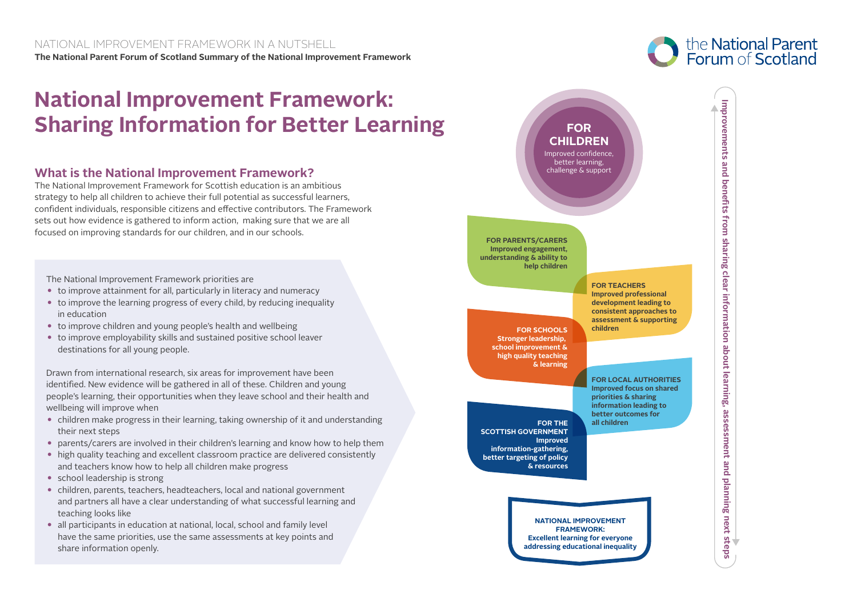## **National Improvement Framework: Sharing Information for Better Learning**

## **What is the National Improvement Framework?**

The National Improvement Framework for Scottish education is an ambitious strategy to help all children to achieve their full potential as successful learners, confident individuals, responsible citizens and effective contributors. The Framework sets out how evidence is gathered to inform action, making sure that we are all focused on improving standards for our children, and in our schools.

The National Improvement Framework priorities are

- to improve attainment for all, particularly in literacy and numeracy
- to improve the learning progress of every child, by reducing inequality in education
- to improve children and young people's health and wellbeing
- to improve employability skills and sustained positive school leaver destinations for all young people.

Drawn from international research, six areas for improvement have been identified. New evidence will be gathered in all of these. Children and young people's learning, their opportunities when they leave school and their health and wellbeing will improve when

- children make progress in their learning, taking ownership of it and understanding their next steps
- parents/carers are involved in their children's learning and know how to help them
- high quality teaching and excellent classroom practice are delivered consistently and teachers know how to help all children make progress
- $\bullet$  school leadership is strong
- children, parents, teachers, headteachers, local and national government and partners all have a clear understanding of what successful learning and teaching looks like
- all participants in education at national, local, school and family level have the same priorities, use the same assessments at key points and share information openly.